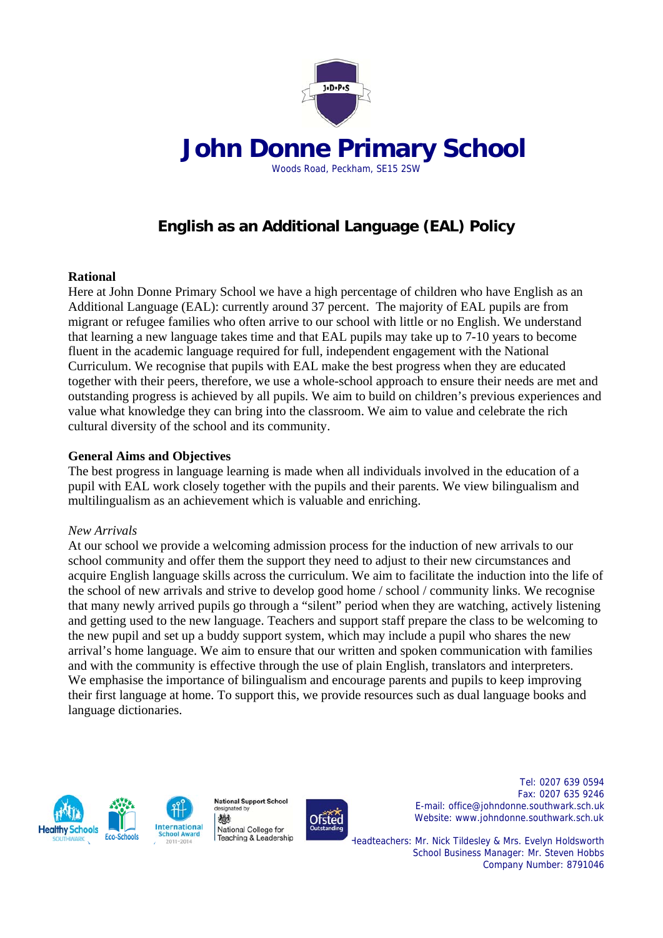

# **English as an Additional Language (EAL) Policy**

### **Rational**

Here at John Donne Primary School we have a high percentage of children who have English as an Additional Language (EAL): currently around 37 percent. The majority of EAL pupils are from migrant or refugee families who often arrive to our school with little or no English. We understand that learning a new language takes time and that EAL pupils may take up to 7-10 years to become fluent in the academic language required for full, independent engagement with the National Curriculum. We recognise that pupils with EAL make the best progress when they are educated together with their peers, therefore, we use a whole-school approach to ensure their needs are met and outstanding progress is achieved by all pupils. We aim to build on children's previous experiences and value what knowledge they can bring into the classroom. We aim to value and celebrate the rich cultural diversity of the school and its community.

### **General Aims and Objectives**

The best progress in language learning is made when all individuals involved in the education of a pupil with EAL work closely together with the pupils and their parents. We view bilingualism and multilingualism as an achievement which is valuable and enriching.

#### *New Arrivals*

At our school we provide a welcoming admission process for the induction of new arrivals to our school community and offer them the support they need to adjust to their new circumstances and acquire English language skills across the curriculum. We aim to facilitate the induction into the life of the school of new arrivals and strive to develop good home / school / community links. We recognise that many newly arrived pupils go through a "silent" period when they are watching, actively listening and getting used to the new language. Teachers and support staff prepare the class to be welcoming to the new pupil and set up a buddy support system, which may include a pupil who shares the new arrival's home language. We aim to ensure that our written and spoken communication with families and with the community is effective through the use of plain English, translators and interpreters. We emphasise the importance of bilingualism and encourage parents and pupils to keep improving their first language at home. To support this, we provide resources such as dual language books and language dictionaries.





designated by 機 National College for Teaching & Leadership

National Support School



 Tel: 0207 639 0594 Fax: 0207 635 9246 E-mail: office@johndonne.southwark.sch.uk Ofsted Website: www.johndonne.southwark.sch.uk

> Headteachers: Mr. Nick Tildesley & Mrs. Evelyn Holdsworth School Business Manager: Mr. Steven Hobbs Company Number: 8791046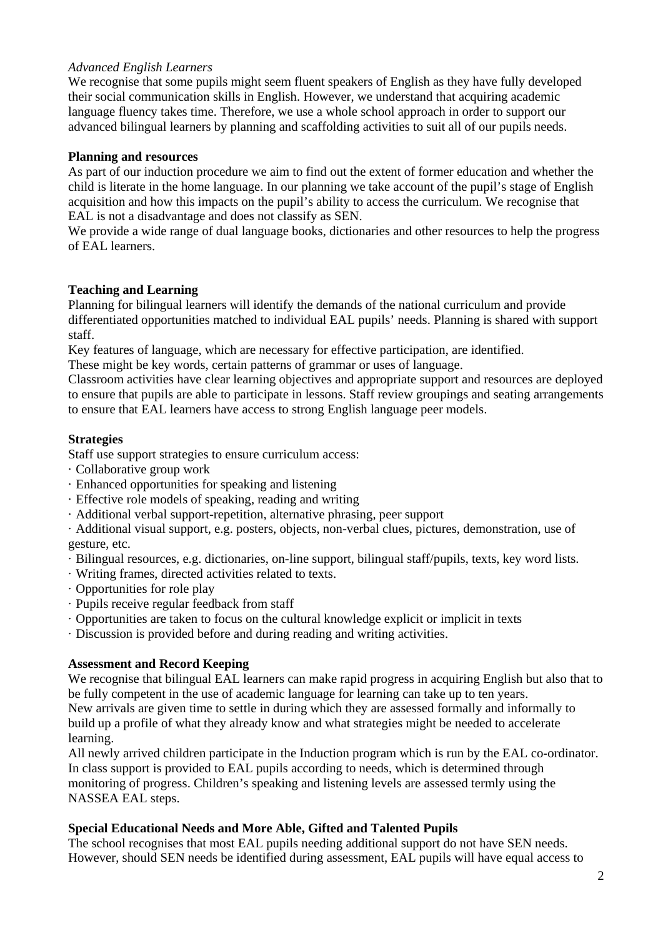### *Advanced English Learners*

We recognise that some pupils might seem fluent speakers of English as they have fully developed their social communication skills in English. However, we understand that acquiring academic language fluency takes time. Therefore, we use a whole school approach in order to support our advanced bilingual learners by planning and scaffolding activities to suit all of our pupils needs.

### **Planning and resources**

As part of our induction procedure we aim to find out the extent of former education and whether the child is literate in the home language. In our planning we take account of the pupil's stage of English acquisition and how this impacts on the pupil's ability to access the curriculum. We recognise that EAL is not a disadvantage and does not classify as SEN.

We provide a wide range of dual language books, dictionaries and other resources to help the progress of EAL learners.

### **Teaching and Learning**

Planning for bilingual learners will identify the demands of the national curriculum and provide differentiated opportunities matched to individual EAL pupils' needs. Planning is shared with support staff.

Key features of language, which are necessary for effective participation, are identified.

These might be key words, certain patterns of grammar or uses of language.

Classroom activities have clear learning objectives and appropriate support and resources are deployed to ensure that pupils are able to participate in lessons. Staff review groupings and seating arrangements to ensure that EAL learners have access to strong English language peer models.

### **Strategies**

Staff use support strategies to ensure curriculum access:

- · Collaborative group work
- · Enhanced opportunities for speaking and listening
- · Effective role models of speaking, reading and writing
- · Additional verbal support-repetition, alternative phrasing, peer support

· Additional visual support, e.g. posters, objects, non-verbal clues, pictures, demonstration, use of gesture, etc.

- · Bilingual resources, e.g. dictionaries, on-line support, bilingual staff/pupils, texts, key word lists.
- · Writing frames, directed activities related to texts.
- · Opportunities for role play
- · Pupils receive regular feedback from staff
- · Opportunities are taken to focus on the cultural knowledge explicit or implicit in texts
- · Discussion is provided before and during reading and writing activities.

## **Assessment and Record Keeping**

We recognise that bilingual EAL learners can make rapid progress in acquiring English but also that to be fully competent in the use of academic language for learning can take up to ten years. New arrivals are given time to settle in during which they are assessed formally and informally to build up a profile of what they already know and what strategies might be needed to accelerate learning.

All newly arrived children participate in the Induction program which is run by the EAL co-ordinator. In class support is provided to EAL pupils according to needs, which is determined through monitoring of progress. Children's speaking and listening levels are assessed termly using the NASSEA EAL steps.

## **Special Educational Needs and More Able, Gifted and Talented Pupils**

The school recognises that most EAL pupils needing additional support do not have SEN needs. However, should SEN needs be identified during assessment, EAL pupils will have equal access to